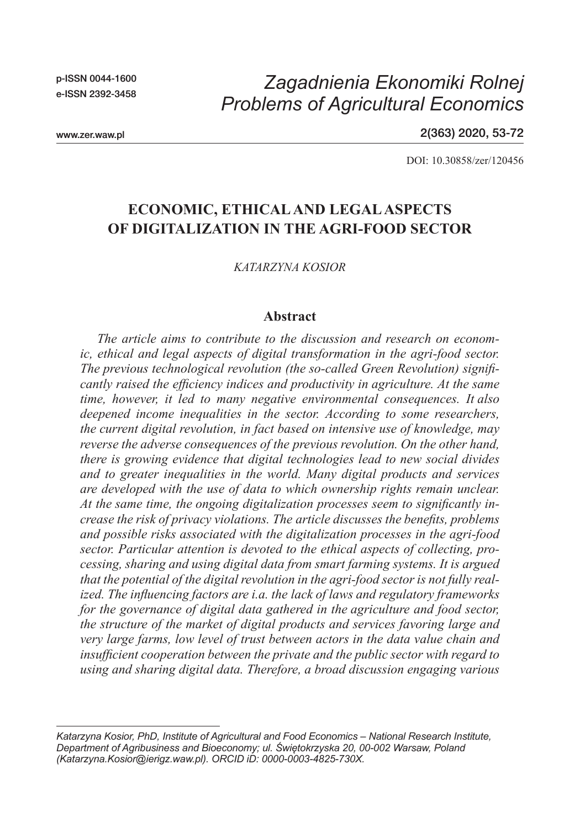p-ISSN 0044-1600 e-ISSN 2392-3458

# *Zagadnienia Ekonomiki Rolnej Problems of Agricultural Economics*

www.zer.waw.pl

2(363) 2020, 53-72

DOI: 10.30858/zer/120456

## **ECONOMIC, ETHICAL AND LEGAL ASPECTS OF DIGITALIZATION IN THE AGRI-FOOD SECTOR**

*KATARZYNA KOSIOR*

#### **Abstract**

*The article aims to contribute to the discussion and research on economic, ethical and legal aspects of digital transformation in the agri-food sector. The previous technological revolution (the so-called Green Revolution) significantly raised the efficiency indices and productivity in agriculture. At the same time, however, it led to many negative environmental consequences. It also deepened income inequalities in the sector. According to some researchers, the current digital revolution, in fact based on intensive use of knowledge, may reverse the adverse consequences of the previous revolution. On the other hand, there is growing evidence that digital technologies lead to new social divides and to greater inequalities in the world. Many digital products and services are developed with the use of data to which ownership rights remain unclear. At the same time, the ongoing digitalization processes seem to significantly increase the risk of privacy violations. The article discusses the benefits, problems and possible risks associated with the digitalization processes in the agri-food sector. Particular attention is devoted to the ethical aspects of collecting, processing, sharing and using digital data from smart farming systems. It is argued that the potential of the digital revolution in the agri-food sector is not fully realized. The influencing factors are i.a. the lack of laws and regulatory frameworks for the governance of digital data gathered in the agriculture and food sector, the structure of the market of digital products and services favoring large and very large farms, low level of trust between actors in the data value chain and insufficient cooperation between the private and the public sector with regard to using and sharing digital data. Therefore, a broad discussion engaging various* 

*Katarzyna Kosior, PhD, Institute of Agricultural and Food Economics – National Research Institute, Department of Agribusiness and Bioeconomy; ul. Świętokrzyska 20, 00-002 Warsaw, Poland (Katarzyna.Kosior@ierigz.waw.pl). ORCID iD: 0000-0003-4825-730X.*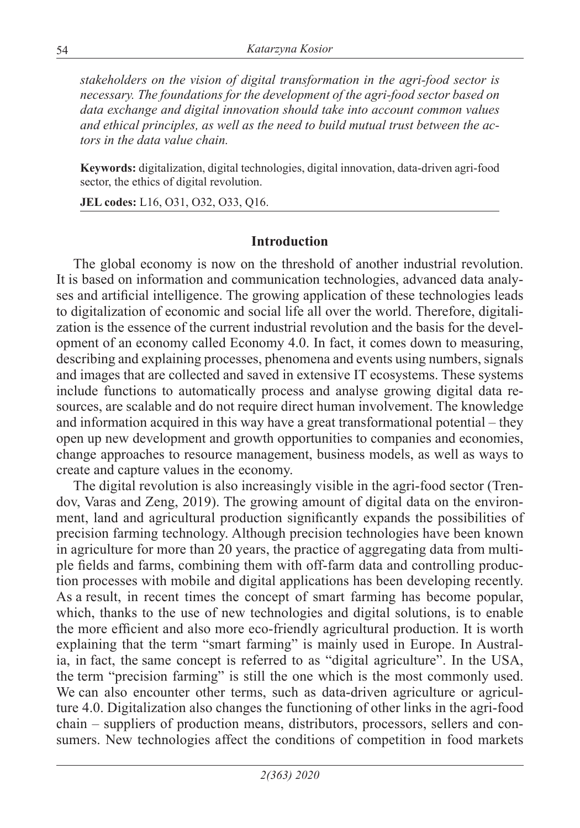*stakeholders on the vision of digital transformation in the agri-food sector is necessary. The foundations for the development of the agri-food sector based on data exchange and digital innovation should take into account common values and ethical principles, as well as the need to build mutual trust between the actors in the data value chain.*

**Keywords:** digitalization, digital technologies, digital innovation, data-driven agri-food sector, the ethics of digital revolution.

**JEL codes:** L16, O31, O32, O33, Q16.

#### **Introduction**

The global economy is now on the threshold of another industrial revolution. It is based on information and communication technologies, advanced data analyses and artificial intelligence. The growing application of these technologies leads to digitalization of economic and social life all over the world. Therefore, digitalization is the essence of the current industrial revolution and the basis for the development of an economy called Economy 4.0. In fact, it comes down to measuring, describing and explaining processes, phenomena and events using numbers, signals and images that are collected and saved in extensive IT ecosystems. These systems include functions to automatically process and analyse growing digital data resources, are scalable and do not require direct human involvement. The knowledge and information acquired in this way have a great transformational potential – they open up new development and growth opportunities to companies and economies, change approaches to resource management, business models, as well as ways to create and capture values in the economy.

The digital revolution is also increasingly visible in the agri-food sector (Trendov, Varas and Zeng, 2019). The growing amount of digital data on the environment, land and agricultural production significantly expands the possibilities of precision farming technology. Although precision technologies have been known in agriculture for more than 20 years, the practice of aggregating data from multiple fields and farms, combining them with off-farm data and controlling production processes with mobile and digital applications has been developing recently. As a result, in recent times the concept of smart farming has become popular, which, thanks to the use of new technologies and digital solutions, is to enable the more efficient and also more eco-friendly agricultural production. It is worth explaining that the term "smart farming" is mainly used in Europe. In Australia, in fact, the same concept is referred to as "digital agriculture". In the USA, the term "precision farming" is still the one which is the most commonly used. We can also encounter other terms, such as data-driven agriculture or agriculture 4.0. Digitalization also changes the functioning of other links in the agri-food chain – suppliers of production means, distributors, processors, sellers and consumers. New technologies affect the conditions of competition in food markets

*2(363) 2020*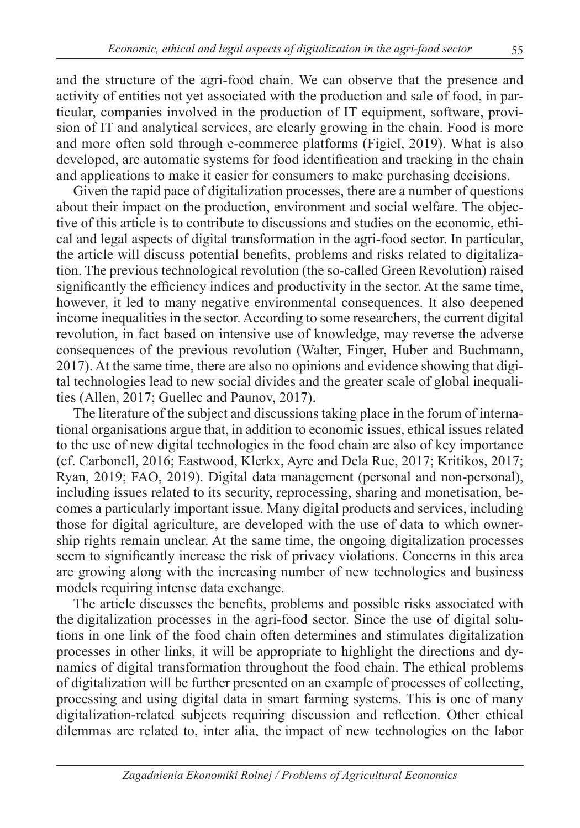and the structure of the agri-food chain. We can observe that the presence and activity of entities not yet associated with the production and sale of food, in particular, companies involved in the production of IT equipment, software, provision of IT and analytical services, are clearly growing in the chain. Food is more and more often sold through e-commerce platforms (Figiel, 2019). What is also developed, are automatic systems for food identification and tracking in the chain and applications to make it easier for consumers to make purchasing decisions.

Given the rapid pace of digitalization processes, there are a number of questions about their impact on the production, environment and social welfare. The objective of this article is to contribute to discussions and studies on the economic, ethical and legal aspects of digital transformation in the agri-food sector. In particular, the article will discuss potential benefits, problems and risks related to digitalization. The previous technological revolution (the so-called Green Revolution) raised significantly the efficiency indices and productivity in the sector. At the same time, however, it led to many negative environmental consequences. It also deepened income inequalities in the sector. According to some researchers, the current digital revolution, in fact based on intensive use of knowledge, may reverse the adverse consequences of the previous revolution (Walter, Finger, Huber and Buchmann, 2017). At the same time, there are also no opinions and evidence showing that digital technologies lead to new social divides and the greater scale of global inequalities (Allen, 2017; Guellec and Paunov, 2017).

The literature of the subject and discussions taking place in the forum of international organisations argue that, in addition to economic issues, ethical issues related to the use of new digital technologies in the food chain are also of key importance (cf. Carbonell, 2016; Eastwood, Klerkx, Ayre and Dela Rue, 2017; Kritikos, 2017; Ryan, 2019; FAO, 2019). Digital data management (personal and non-personal), including issues related to its security, reprocessing, sharing and monetisation, becomes a particularly important issue. Many digital products and services, including those for digital agriculture, are developed with the use of data to which ownership rights remain unclear. At the same time, the ongoing digitalization processes seem to significantly increase the risk of privacy violations. Concerns in this area are growing along with the increasing number of new technologies and business models requiring intense data exchange.

The article discusses the benefits, problems and possible risks associated with the digitalization processes in the agri-food sector. Since the use of digital solutions in one link of the food chain often determines and stimulates digitalization processes in other links, it will be appropriate to highlight the directions and dynamics of digital transformation throughout the food chain. The ethical problems of digitalization will be further presented on an example of processes of collecting, processing and using digital data in smart farming systems. This is one of many digitalization-related subjects requiring discussion and reflection. Other ethical dilemmas are related to, inter alia, the impact of new technologies on the labor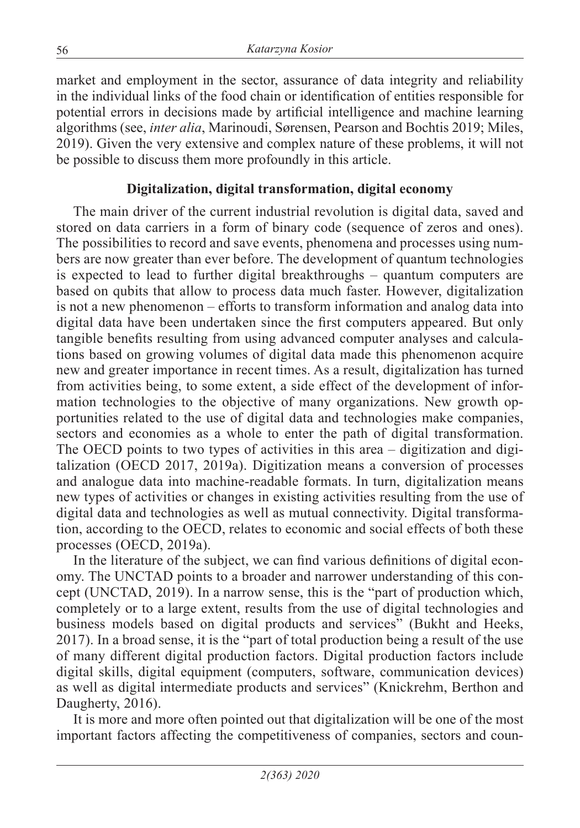market and employment in the sector, assurance of data integrity and reliability in the individual links of the food chain or identification of entities responsible for potential errors in decisions made by artificial intelligence and machine learning algorithms (see, *inter alia*, Marinoudi, Sørensen, Pearson and Bochtis 2019; Miles, 2019). Given the very extensive and complex nature of these problems, it will not be possible to discuss them more profoundly in this article.

### **Digitalization, digital transformation, digital economy**

The main driver of the current industrial revolution is digital data, saved and stored on data carriers in a form of binary code (sequence of zeros and ones). The possibilities to record and save events, phenomena and processes using numbers are now greater than ever before. The development of quantum technologies is expected to lead to further digital breakthroughs – quantum computers are based on qubits that allow to process data much faster. However, digitalization is not a new phenomenon – efforts to transform information and analog data into digital data have been undertaken since the first computers appeared. But only tangible benefits resulting from using advanced computer analyses and calculations based on growing volumes of digital data made this phenomenon acquire new and greater importance in recent times. As a result, digitalization has turned from activities being, to some extent, a side effect of the development of information technologies to the objective of many organizations. New growth opportunities related to the use of digital data and technologies make companies, sectors and economies as a whole to enter the path of digital transformation. The OECD points to two types of activities in this area – digitization and digitalization (OECD 2017, 2019a). Digitization means a conversion of processes and analogue data into machine-readable formats. In turn, digitalization means new types of activities or changes in existing activities resulting from the use of digital data and technologies as well as mutual connectivity. Digital transformation, according to the OECD, relates to economic and social effects of both these processes (OECD, 2019a).

In the literature of the subject, we can find various definitions of digital economy. The UNCTAD points to a broader and narrower understanding of this concept (UNCTAD, 2019). In a narrow sense, this is the "part of production which, completely or to a large extent, results from the use of digital technologies and business models based on digital products and services" (Bukht and Heeks, 2017). In a broad sense, it is the "part of total production being a result of the use of many different digital production factors. Digital production factors include digital skills, digital equipment (computers, software, communication devices) as well as digital intermediate products and services" (Knickrehm, Berthon and Daugherty, 2016).

It is more and more often pointed out that digitalization will be one of the most important factors affecting the competitiveness of companies, sectors and coun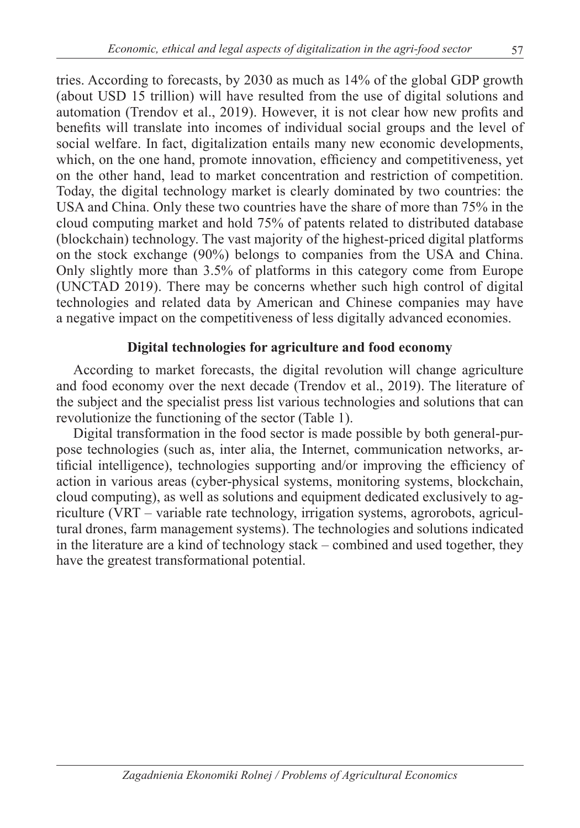tries. According to forecasts, by 2030 as much as 14% of the global GDP growth (about USD 15 trillion) will have resulted from the use of digital solutions and automation (Trendov et al., 2019). However, it is not clear how new profits and benefits will translate into incomes of individual social groups and the level of social welfare. In fact, digitalization entails many new economic developments, which, on the one hand, promote innovation, efficiency and competitiveness, yet on the other hand, lead to market concentration and restriction of competition. Today, the digital technology market is clearly dominated by two countries: the USA and China. Only these two countries have the share of more than 75% in the cloud computing market and hold 75% of patents related to distributed database (blockchain) technology. The vast majority of the highest-priced digital platforms on the stock exchange (90%) belongs to companies from the USA and China. Only slightly more than 3.5% of platforms in this category come from Europe (UNCTAD 2019). There may be concerns whether such high control of digital technologies and related data by American and Chinese companies may have a negative impact on the competitiveness of less digitally advanced economies.

### **Digital technologies for agriculture and food economy**

According to market forecasts, the digital revolution will change agriculture and food economy over the next decade (Trendov et al., 2019). The literature of the subject and the specialist press list various technologies and solutions that can revolutionize the functioning of the sector (Table 1).

Digital transformation in the food sector is made possible by both general-purpose technologies (such as, inter alia, the Internet, communication networks, artificial intelligence), technologies supporting and/or improving the efficiency of action in various areas (cyber-physical systems, monitoring systems, blockchain, cloud computing), as well as solutions and equipment dedicated exclusively to agriculture (VRT – variable rate technology, irrigation systems, agrorobots, agricultural drones, farm management systems). The technologies and solutions indicated in the literature are a kind of technology stack – combined and used together, they have the greatest transformational potential.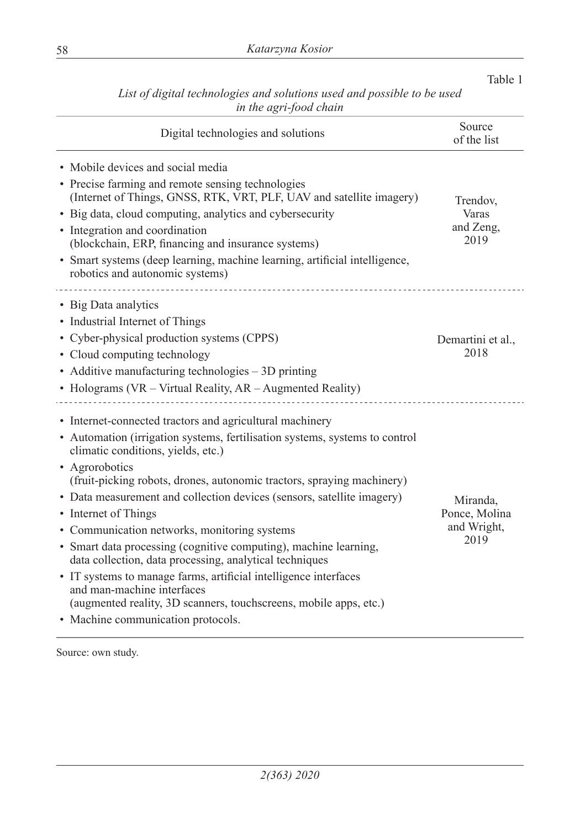| Digital technologies and solutions                                                                                                                                                                                                                                                                                                                                                                                                                                                                                                                                                                                                                                                                                                                                      | Source<br>of the list                            |
|-------------------------------------------------------------------------------------------------------------------------------------------------------------------------------------------------------------------------------------------------------------------------------------------------------------------------------------------------------------------------------------------------------------------------------------------------------------------------------------------------------------------------------------------------------------------------------------------------------------------------------------------------------------------------------------------------------------------------------------------------------------------------|--------------------------------------------------|
| • Mobile devices and social media<br>• Precise farming and remote sensing technologies<br>(Internet of Things, GNSS, RTK, VRT, PLF, UAV and satellite imagery)<br>• Big data, cloud computing, analytics and cybersecurity<br>• Integration and coordination<br>(blockchain, ERP, financing and insurance systems)<br>· Smart systems (deep learning, machine learning, artificial intelligence,<br>robotics and autonomic systems)                                                                                                                                                                                                                                                                                                                                     | Trendov.<br>Varas<br>and Zeng,<br>2019           |
| • Big Data analytics<br>• Industrial Internet of Things<br>• Cyber-physical production systems (CPPS)<br>• Cloud computing technology<br>• Additive manufacturing technologies – 3D printing<br>• Holograms (VR - Virtual Reality, AR - Augmented Reality)                                                                                                                                                                                                                                                                                                                                                                                                                                                                                                              | Demartini et al.,<br>2018                        |
| • Internet-connected tractors and agricultural machinery<br>• Automation (irrigation systems, fertilisation systems, systems to control<br>climatic conditions, yields, etc.)<br>• Agrorobotics<br>(fruit-picking robots, drones, autonomic tractors, spraying machinery)<br>• Data measurement and collection devices (sensors, satellite imagery)<br>• Internet of Things<br>• Communication networks, monitoring systems<br>• Smart data processing (cognitive computing), machine learning,<br>data collection, data processing, analytical techniques<br>• IT systems to manage farms, artificial intelligence interfaces<br>and man-machine interfaces<br>(augmented reality, 3D scanners, touchscreens, mobile apps, etc.)<br>• Machine communication protocols. | Miranda,<br>Ponce, Molina<br>and Wright,<br>2019 |

*List of digital technologies and solutions used and possible to be used in the agri-food chain*

Table 1

Source: own study.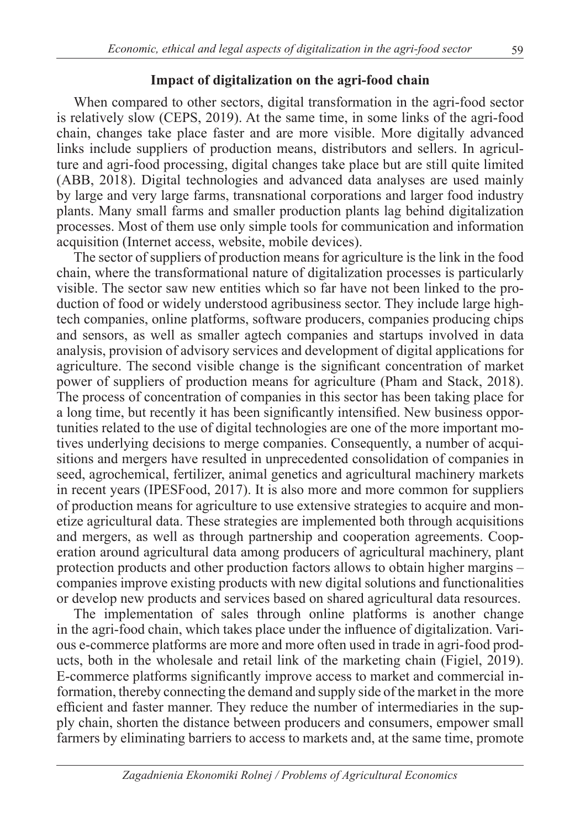#### **Impact of digitalization on the agri-food chain**

When compared to other sectors, digital transformation in the agri-food sector is relatively slow (CEPS, 2019). At the same time, in some links of the agri-food chain, changes take place faster and are more visible. More digitally advanced links include suppliers of production means, distributors and sellers. In agriculture and agri-food processing, digital changes take place but are still quite limited (ABB, 2018). Digital technologies and advanced data analyses are used mainly by large and very large farms, transnational corporations and larger food industry plants. Many small farms and smaller production plants lag behind digitalization processes. Most of them use only simple tools for communication and information acquisition (Internet access, website, mobile devices).

The sector of suppliers of production means for agriculture is the link in the food chain, where the transformational nature of digitalization processes is particularly visible. The sector saw new entities which so far have not been linked to the production of food or widely understood agribusiness sector. They include large hightech companies, online platforms, software producers, companies producing chips and sensors, as well as smaller agtech companies and startups involved in data analysis, provision of advisory services and development of digital applications for agriculture. The second visible change is the significant concentration of market power of suppliers of production means for agriculture (Pham and Stack, 2018). The process of concentration of companies in this sector has been taking place for a long time, but recently it has been significantly intensified. New business opportunities related to the use of digital technologies are one of the more important motives underlying decisions to merge companies. Consequently, a number of acquisitions and mergers have resulted in unprecedented consolidation of companies in seed, agrochemical, fertilizer, animal genetics and agricultural machinery markets in recent years (IPESFood, 2017). It is also more and more common for suppliers of production means for agriculture to use extensive strategies to acquire and monetize agricultural data. These strategies are implemented both through acquisitions and mergers, as well as through partnership and cooperation agreements. Cooperation around agricultural data among producers of agricultural machinery, plant protection products and other production factors allows to obtain higher margins – companies improve existing products with new digital solutions and functionalities or develop new products and services based on shared agricultural data resources.

The implementation of sales through online platforms is another change in the agri-food chain, which takes place under the influence of digitalization. Various e-commerce platforms are more and more often used in trade in agri-food products, both in the wholesale and retail link of the marketing chain (Figiel, 2019). E-commerce platforms significantly improve access to market and commercial information, thereby connecting the demand and supply side of the market in the more efficient and faster manner. They reduce the number of intermediaries in the supply chain, shorten the distance between producers and consumers, empower small farmers by eliminating barriers to access to markets and, at the same time, promote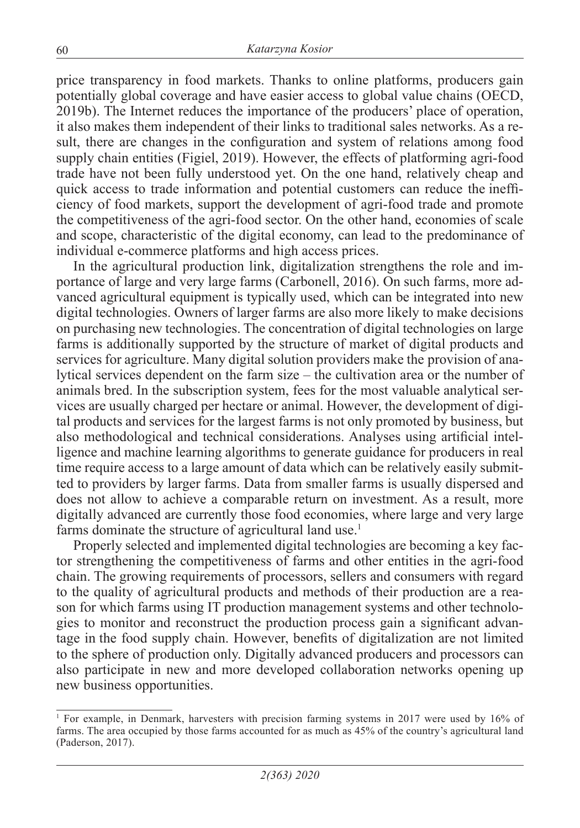price transparency in food markets. Thanks to online platforms, producers gain potentially global coverage and have easier access to global value chains (OECD, 2019b). The Internet reduces the importance of the producers' place of operation, it also makes them independent of their links to traditional sales networks. As a result, there are changes in the configuration and system of relations among food supply chain entities (Figiel, 2019). However, the effects of platforming agri-food trade have not been fully understood yet. On the one hand, relatively cheap and quick access to trade information and potential customers can reduce the inefficiency of food markets, support the development of agri-food trade and promote the competitiveness of the agri-food sector. On the other hand, economies of scale and scope, characteristic of the digital economy, can lead to the predominance of individual e-commerce platforms and high access prices.

In the agricultural production link, digitalization strengthens the role and importance of large and very large farms (Carbonell, 2016). On such farms, more advanced agricultural equipment is typically used, which can be integrated into new digital technologies. Owners of larger farms are also more likely to make decisions on purchasing new technologies. The concentration of digital technologies on large farms is additionally supported by the structure of market of digital products and services for agriculture. Many digital solution providers make the provision of analytical services dependent on the farm size – the cultivation area or the number of animals bred. In the subscription system, fees for the most valuable analytical services are usually charged per hectare or animal. However, the development of digital products and services for the largest farms is not only promoted by business, but also methodological and technical considerations. Analyses using artificial intelligence and machine learning algorithms to generate guidance for producers in real time require access to a large amount of data which can be relatively easily submitted to providers by larger farms. Data from smaller farms is usually dispersed and does not allow to achieve a comparable return on investment. As a result, more digitally advanced are currently those food economies, where large and very large farms dominate the structure of agricultural land use.<sup>1</sup>

Properly selected and implemented digital technologies are becoming a key factor strengthening the competitiveness of farms and other entities in the agri-food chain. The growing requirements of processors, sellers and consumers with regard to the quality of agricultural products and methods of their production are a reason for which farms using IT production management systems and other technologies to monitor and reconstruct the production process gain a significant advantage in the food supply chain. However, benefits of digitalization are not limited to the sphere of production only. Digitally advanced producers and processors can also participate in new and more developed collaboration networks opening up new business opportunities.

<sup>1</sup> For example, in Denmark, harvesters with precision farming systems in 2017 were used by 16% of farms. The area occupied by those farms accounted for as much as 45% of the country's agricultural land (Paderson, 2017).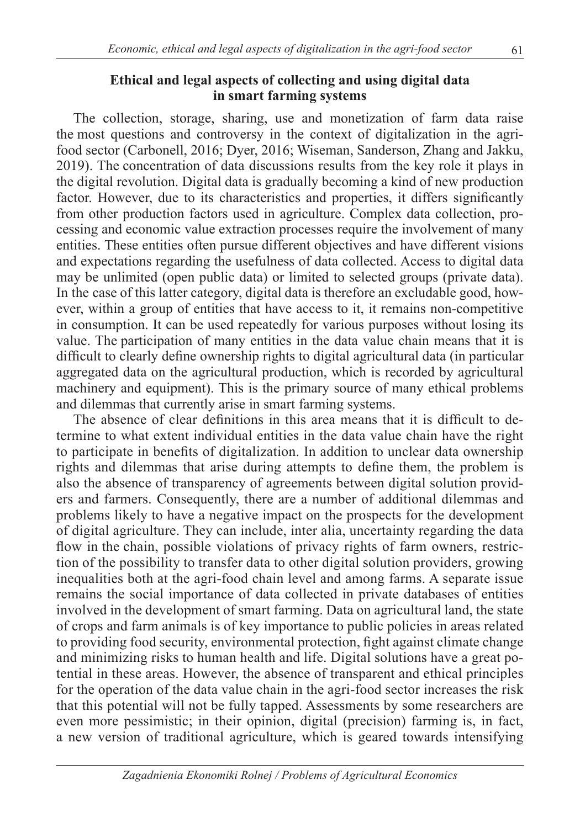### **Ethical and legal aspects of collecting and using digital data in smart farming systems**

The collection, storage, sharing, use and monetization of farm data raise the most questions and controversy in the context of digitalization in the agrifood sector (Carbonell, 2016; Dyer, 2016; Wiseman, Sanderson, Zhang and Jakku, 2019). The concentration of data discussions results from the key role it plays in the digital revolution. Digital data is gradually becoming a kind of new production factor. However, due to its characteristics and properties, it differs significantly from other production factors used in agriculture. Complex data collection, processing and economic value extraction processes require the involvement of many entities. These entities often pursue different objectives and have different visions and expectations regarding the usefulness of data collected. Access to digital data may be unlimited (open public data) or limited to selected groups (private data). In the case of this latter category, digital data is therefore an excludable good, however, within a group of entities that have access to it, it remains non-competitive in consumption. It can be used repeatedly for various purposes without losing its value. The participation of many entities in the data value chain means that it is difficult to clearly define ownership rights to digital agricultural data (in particular aggregated data on the agricultural production, which is recorded by agricultural machinery and equipment). This is the primary source of many ethical problems and dilemmas that currently arise in smart farming systems.

The absence of clear definitions in this area means that it is difficult to determine to what extent individual entities in the data value chain have the right to participate in benefits of digitalization. In addition to unclear data ownership rights and dilemmas that arise during attempts to define them, the problem is also the absence of transparency of agreements between digital solution providers and farmers. Consequently, there are a number of additional dilemmas and problems likely to have a negative impact on the prospects for the development of digital agriculture. They can include, inter alia, uncertainty regarding the data flow in the chain, possible violations of privacy rights of farm owners, restriction of the possibility to transfer data to other digital solution providers, growing inequalities both at the agri-food chain level and among farms. A separate issue remains the social importance of data collected in private databases of entities involved in the development of smart farming. Data on agricultural land, the state of crops and farm animals is of key importance to public policies in areas related to providing food security, environmental protection, fight against climate change and minimizing risks to human health and life. Digital solutions have a great potential in these areas. However, the absence of transparent and ethical principles for the operation of the data value chain in the agri-food sector increases the risk that this potential will not be fully tapped. Assessments by some researchers are even more pessimistic; in their opinion, digital (precision) farming is, in fact, a new version of traditional agriculture, which is geared towards intensifying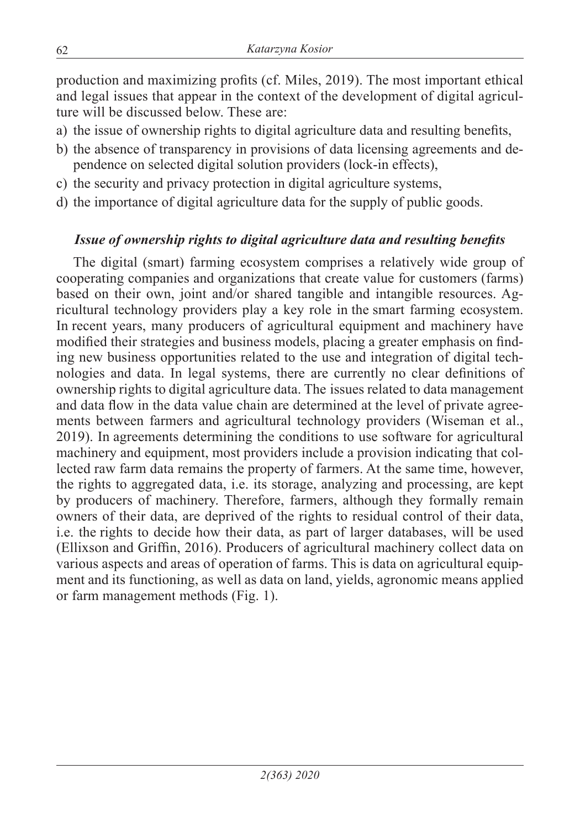production and maximizing profits (cf. Miles, 2019). The most important ethical and legal issues that appear in the context of the development of digital agriculture will be discussed below. These are:

- a) the issue of ownership rights to digital agriculture data and resulting benefits,
- b) the absence of transparency in provisions of data licensing agreements and dependence on selected digital solution providers (lock-in effects),
- c) the security and privacy protection in digital agriculture systems,
- d) the importance of digital agriculture data for the supply of public goods.

### *Issue of ownership rights to digital agriculture data and resulting benefits*

The digital (smart) farming ecosystem comprises a relatively wide group of cooperating companies and organizations that create value for customers (farms) based on their own, joint and/or shared tangible and intangible resources. Agricultural technology providers play a key role in the smart farming ecosystem. In recent years, many producers of agricultural equipment and machinery have modified their strategies and business models, placing a greater emphasis on finding new business opportunities related to the use and integration of digital technologies and data. In legal systems, there are currently no clear definitions of ownership rights to digital agriculture data. The issues related to data management and data flow in the data value chain are determined at the level of private agreements between farmers and agricultural technology providers (Wiseman et al., 2019). In agreements determining the conditions to use software for agricultural machinery and equipment, most providers include a provision indicating that collected raw farm data remains the property of farmers. At the same time, however, the rights to aggregated data, i.e. its storage, analyzing and processing, are kept by producers of machinery. Therefore, farmers, although they formally remain owners of their data, are deprived of the rights to residual control of their data, i.e. the rights to decide how their data, as part of larger databases, will be used (Ellixson and Griffin, 2016). Producers of agricultural machinery collect data on various aspects and areas of operation of farms. This is data on agricultural equipment and its functioning, as well as data on land, yields, agronomic means applied or farm management methods (Fig. 1).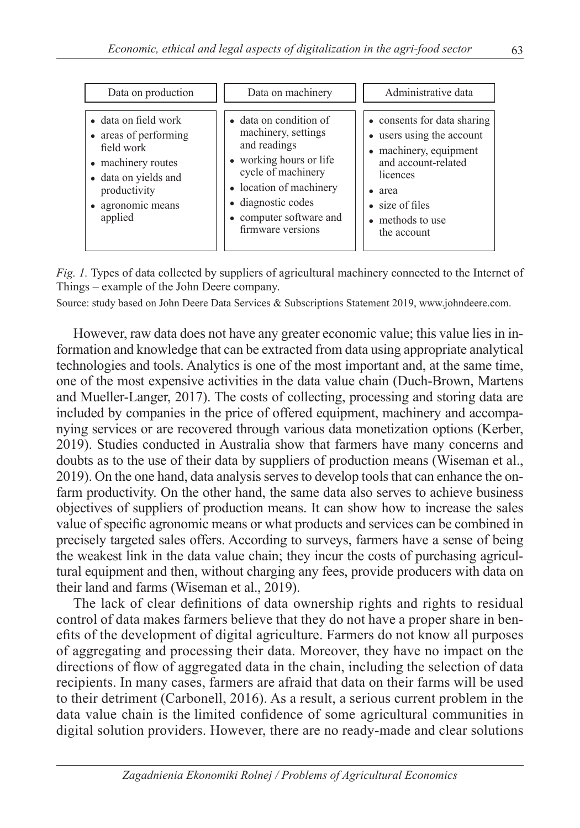| Data on production                                                                                                                                        | Data on machinery                                                                                                                                                                                               | Administrative data                                                                                                                                                                                      |
|-----------------------------------------------------------------------------------------------------------------------------------------------------------|-----------------------------------------------------------------------------------------------------------------------------------------------------------------------------------------------------------------|----------------------------------------------------------------------------------------------------------------------------------------------------------------------------------------------------------|
| • data on field work<br>• areas of performing<br>field work<br>• machinery routes<br>• data on yields and<br>productivity<br>• agronomic means<br>applied | • data on condition of<br>machinery, settings<br>and readings<br>• working hours or life<br>cycle of machinery<br>• location of machinery<br>• diagnostic codes<br>• computer software and<br>firmware versions | • consents for data sharing<br>• users using the account<br>• machinery, equipment<br>and account-related<br>licences<br>area<br>$\bullet$<br>$\bullet$ size of files<br>• methods to use<br>the account |

*Fig. 1.* Types of data collected by suppliers of agricultural machinery connected to the Internet of Things – example of the John Deere company.

Source: study based on John Deere Data Services & Subscriptions Statement 2019, www.johndeere.com.

However, raw data does not have any greater economic value; this value lies in information and knowledge that can be extracted from data using appropriate analytical technologies and tools. Analytics is one of the most important and, at the same time, one of the most expensive activities in the data value chain (Duch-Brown, Martens and Mueller-Langer, 2017). The costs of collecting, processing and storing data are included by companies in the price of offered equipment, machinery and accompanying services or are recovered through various data monetization options (Kerber, 2019). Studies conducted in Australia show that farmers have many concerns and doubts as to the use of their data by suppliers of production means (Wiseman et al., 2019). On the one hand, data analysis serves to develop tools that can enhance the onfarm productivity. On the other hand, the same data also serves to achieve business objectives of suppliers of production means. It can show how to increase the sales value of specific agronomic means or what products and services can be combined in precisely targeted sales offers. According to surveys, farmers have a sense of being the weakest link in the data value chain; they incur the costs of purchasing agricultural equipment and then, without charging any fees, provide producers with data on their land and farms (Wiseman et al., 2019).

The lack of clear definitions of data ownership rights and rights to residual control of data makes farmers believe that they do not have a proper share in benefits of the development of digital agriculture. Farmers do not know all purposes of aggregating and processing their data. Moreover, they have no impact on the directions of flow of aggregated data in the chain, including the selection of data recipients. In many cases, farmers are afraid that data on their farms will be used to their detriment (Carbonell, 2016). As a result, a serious current problem in the data value chain is the limited confidence of some agricultural communities in digital solution providers. However, there are no ready-made and clear solutions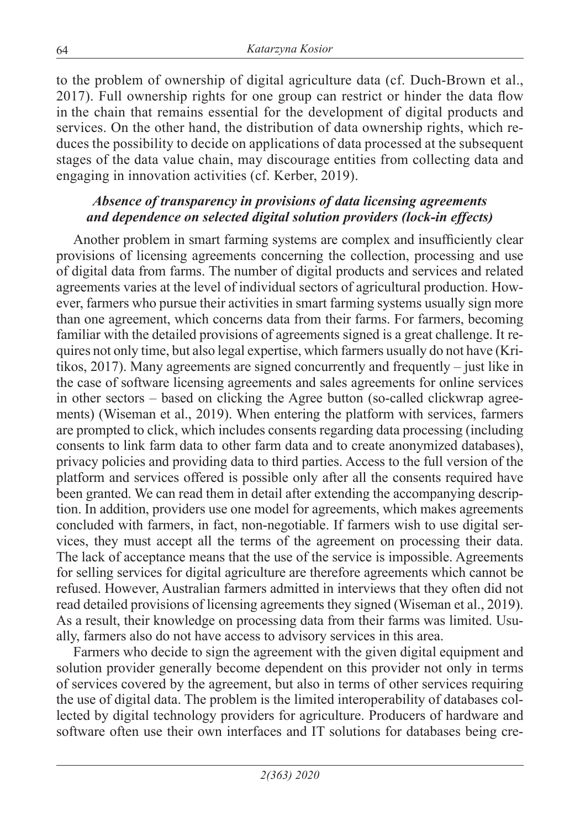to the problem of ownership of digital agriculture data (cf. Duch-Brown et al., 2017). Full ownership rights for one group can restrict or hinder the data flow in the chain that remains essential for the development of digital products and services. On the other hand, the distribution of data ownership rights, which reduces the possibility to decide on applications of data processed at the subsequent stages of the data value chain, may discourage entities from collecting data and engaging in innovation activities (cf. Kerber, 2019).

### *Absence of transparency in provisions of data licensing agreements and dependence on selected digital solution providers (lock-in effects)*

Another problem in smart farming systems are complex and insufficiently clear provisions of licensing agreements concerning the collection, processing and use of digital data from farms. The number of digital products and services and related agreements varies at the level of individual sectors of agricultural production. However, farmers who pursue their activities in smart farming systems usually sign more than one agreement, which concerns data from their farms. For farmers, becoming familiar with the detailed provisions of agreements signed is a great challenge. It requires not only time, but also legal expertise, which farmers usually do not have (Kritikos, 2017). Many agreements are signed concurrently and frequently – just like in the case of software licensing agreements and sales agreements for online services in other sectors – based on clicking the Agree button (so-called clickwrap agreements) (Wiseman et al., 2019). When entering the platform with services, farmers are prompted to click, which includes consents regarding data processing (including consents to link farm data to other farm data and to create anonymized databases), privacy policies and providing data to third parties. Access to the full version of the platform and services offered is possible only after all the consents required have been granted. We can read them in detail after extending the accompanying description. In addition, providers use one model for agreements, which makes agreements concluded with farmers, in fact, non-negotiable. If farmers wish to use digital services, they must accept all the terms of the agreement on processing their data. The lack of acceptance means that the use of the service is impossible. Agreements for selling services for digital agriculture are therefore agreements which cannot be refused. However, Australian farmers admitted in interviews that they often did not read detailed provisions of licensing agreements they signed (Wiseman et al., 2019). As a result, their knowledge on processing data from their farms was limited. Usually, farmers also do not have access to advisory services in this area.

Farmers who decide to sign the agreement with the given digital equipment and solution provider generally become dependent on this provider not only in terms of services covered by the agreement, but also in terms of other services requiring the use of digital data. The problem is the limited interoperability of databases collected by digital technology providers for agriculture. Producers of hardware and software often use their own interfaces and IT solutions for databases being cre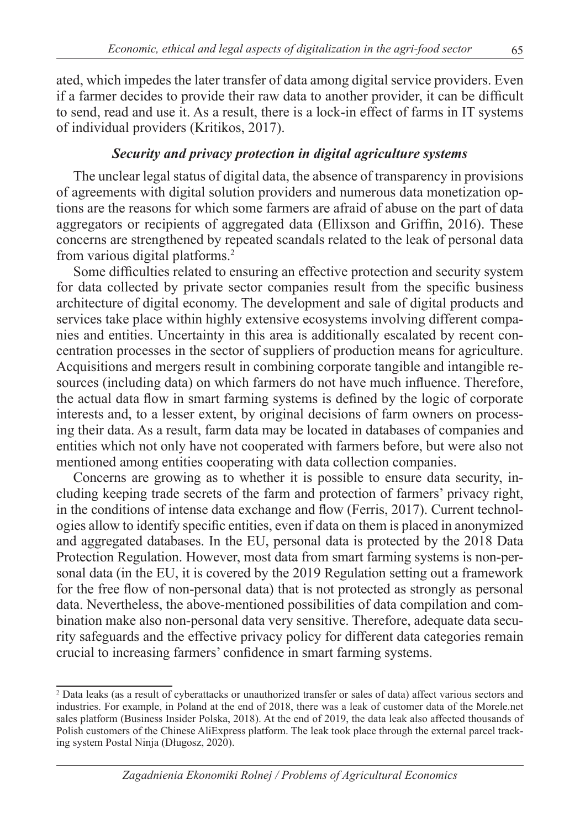ated, which impedes the later transfer of data among digital service providers. Even if a farmer decides to provide their raw data to another provider, it can be difficult to send, read and use it. As a result, there is a lock-in effect of farms in IT systems of individual providers (Kritikos, 2017).

### *Security and privacy protection in digital agriculture systems*

The unclear legal status of digital data, the absence of transparency in provisions of agreements with digital solution providers and numerous data monetization options are the reasons for which some farmers are afraid of abuse on the part of data aggregators or recipients of aggregated data (Ellixson and Griffin, 2016). These concerns are strengthened by repeated scandals related to the leak of personal data from various digital platforms.<sup>2</sup>

Some difficulties related to ensuring an effective protection and security system for data collected by private sector companies result from the specific business architecture of digital economy. The development and sale of digital products and services take place within highly extensive ecosystems involving different companies and entities. Uncertainty in this area is additionally escalated by recent concentration processes in the sector of suppliers of production means for agriculture. Acquisitions and mergers result in combining corporate tangible and intangible resources (including data) on which farmers do not have much influence. Therefore, the actual data flow in smart farming systems is defined by the logic of corporate interests and, to a lesser extent, by original decisions of farm owners on processing their data. As a result, farm data may be located in databases of companies and entities which not only have not cooperated with farmers before, but were also not mentioned among entities cooperating with data collection companies.

Concerns are growing as to whether it is possible to ensure data security, including keeping trade secrets of the farm and protection of farmers' privacy right, in the conditions of intense data exchange and flow (Ferris, 2017). Current technologies allow to identify specific entities, even if data on them is placed in anonymized and aggregated databases. In the EU, personal data is protected by the 2018 Data Protection Regulation. However, most data from smart farming systems is non-personal data (in the EU, it is covered by the 2019 Regulation setting out a framework for the free flow of non-personal data) that is not protected as strongly as personal data. Nevertheless, the above-mentioned possibilities of data compilation and combination make also non-personal data very sensitive. Therefore, adequate data security safeguards and the effective privacy policy for different data categories remain crucial to increasing farmers' confidence in smart farming systems.

<sup>2</sup> Data leaks (as a result of cyberattacks or unauthorized transfer or sales of data) affect various sectors and industries. For example, in Poland at the end of 2018, there was a leak of customer data of the Morele.net sales platform (Business Insider Polska, 2018). At the end of 2019, the data leak also affected thousands of Polish customers of the Chinese AliExpress platform. The leak took place through the external parcel tracking system Postal Ninja (Długosz, 2020).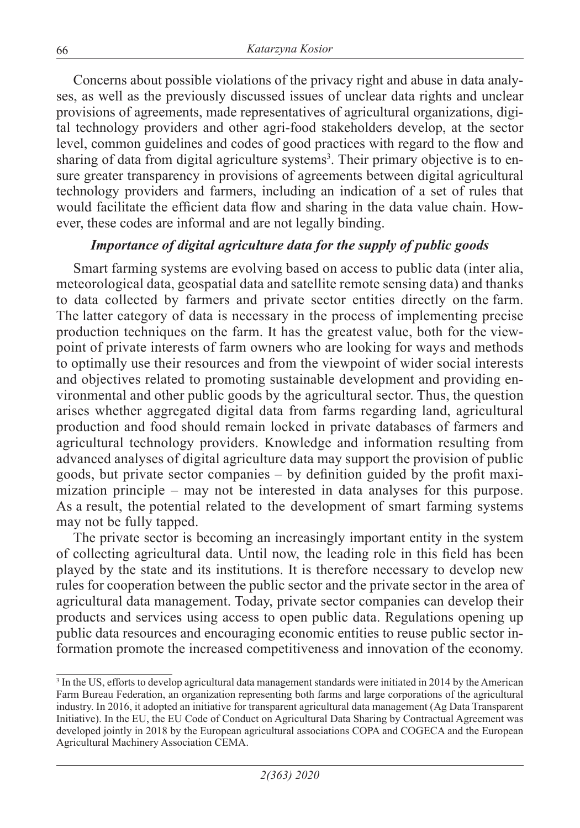Concerns about possible violations of the privacy right and abuse in data analyses, as well as the previously discussed issues of unclear data rights and unclear provisions of agreements, made representatives of agricultural organizations, digital technology providers and other agri-food stakeholders develop, at the sector level, common guidelines and codes of good practices with regard to the flow and sharing of data from digital agriculture systems<sup>3</sup>. Their primary objective is to ensure greater transparency in provisions of agreements between digital agricultural technology providers and farmers, including an indication of a set of rules that would facilitate the efficient data flow and sharing in the data value chain. However, these codes are informal and are not legally binding.

### *Importance of digital agriculture data for the supply of public goods*

Smart farming systems are evolving based on access to public data (inter alia, meteorological data, geospatial data and satellite remote sensing data) and thanks to data collected by farmers and private sector entities directly on the farm. The latter category of data is necessary in the process of implementing precise production techniques on the farm. It has the greatest value, both for the viewpoint of private interests of farm owners who are looking for ways and methods to optimally use their resources and from the viewpoint of wider social interests and objectives related to promoting sustainable development and providing environmental and other public goods by the agricultural sector. Thus, the question arises whether aggregated digital data from farms regarding land, agricultural production and food should remain locked in private databases of farmers and agricultural technology providers. Knowledge and information resulting from advanced analyses of digital agriculture data may support the provision of public goods, but private sector companies – by definition guided by the profit maximization principle – may not be interested in data analyses for this purpose. As a result, the potential related to the development of smart farming systems may not be fully tapped.

The private sector is becoming an increasingly important entity in the system of collecting agricultural data. Until now, the leading role in this field has been played by the state and its institutions. It is therefore necessary to develop new rules for cooperation between the public sector and the private sector in the area of agricultural data management. Today, private sector companies can develop their products and services using access to open public data. Regulations opening up public data resources and encouraging economic entities to reuse public sector information promote the increased competitiveness and innovation of the economy.

<sup>&</sup>lt;sup>3</sup> In the US, efforts to develop agricultural data management standards were initiated in 2014 by the American Farm Bureau Federation, an organization representing both farms and large corporations of the agricultural industry. In 2016, it adopted an initiative for transparent agricultural data management (Ag Data Transparent Initiative). In the EU, the EU Code of Conduct on Agricultural Data Sharing by Contractual Agreement was developed jointly in 2018 by the European agricultural associations COPA and COGECA and the European Agricultural Machinery Association CEMA.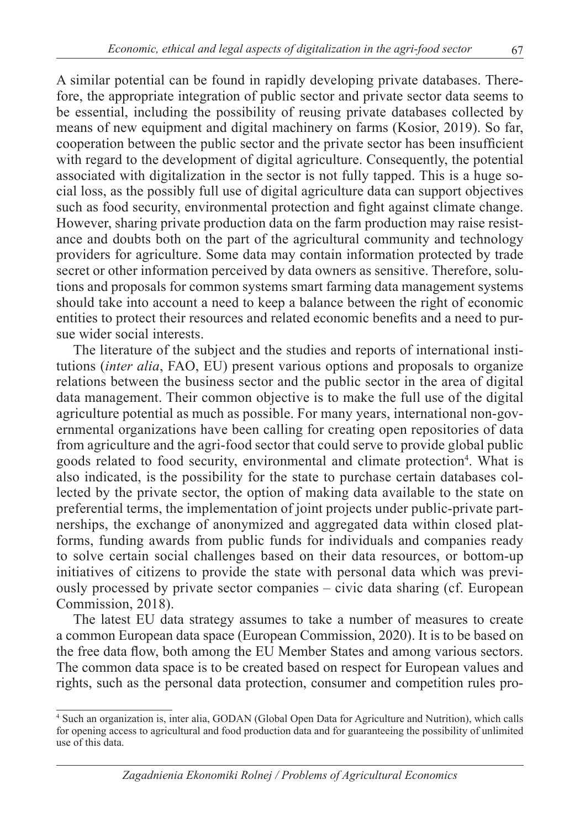A similar potential can be found in rapidly developing private databases. Therefore, the appropriate integration of public sector and private sector data seems to be essential, including the possibility of reusing private databases collected by means of new equipment and digital machinery on farms (Kosior, 2019). So far, cooperation between the public sector and the private sector has been insufficient with regard to the development of digital agriculture. Consequently, the potential associated with digitalization in the sector is not fully tapped. This is a huge social loss, as the possibly full use of digital agriculture data can support objectives such as food security, environmental protection and fight against climate change. However, sharing private production data on the farm production may raise resistance and doubts both on the part of the agricultural community and technology providers for agriculture. Some data may contain information protected by trade secret or other information perceived by data owners as sensitive. Therefore, solutions and proposals for common systems smart farming data management systems should take into account a need to keep a balance between the right of economic entities to protect their resources and related economic benefits and a need to pursue wider social interests.

The literature of the subject and the studies and reports of international institutions (*inter alia*, FAO, EU) present various options and proposals to organize relations between the business sector and the public sector in the area of digital data management. Their common objective is to make the full use of the digital agriculture potential as much as possible. For many years, international non-governmental organizations have been calling for creating open repositories of data from agriculture and the agri-food sector that could serve to provide global public goods related to food security, environmental and climate protection<sup>4</sup>. What is also indicated, is the possibility for the state to purchase certain databases collected by the private sector, the option of making data available to the state on preferential terms, the implementation of joint projects under public-private partnerships, the exchange of anonymized and aggregated data within closed platforms, funding awards from public funds for individuals and companies ready to solve certain social challenges based on their data resources, or bottom-up initiatives of citizens to provide the state with personal data which was previously processed by private sector companies – civic data sharing (cf. European Commission, 2018).

The latest EU data strategy assumes to take a number of measures to create a common European data space (European Commission, 2020). It is to be based on the free data flow, both among the EU Member States and among various sectors. The common data space is to be created based on respect for European values and rights, such as the personal data protection, consumer and competition rules pro-

<sup>4</sup> Such an organization is, inter alia, GODAN (Global Open Data for Agriculture and Nutrition), which calls for opening access to agricultural and food production data and for guaranteeing the possibility of unlimited use of this data.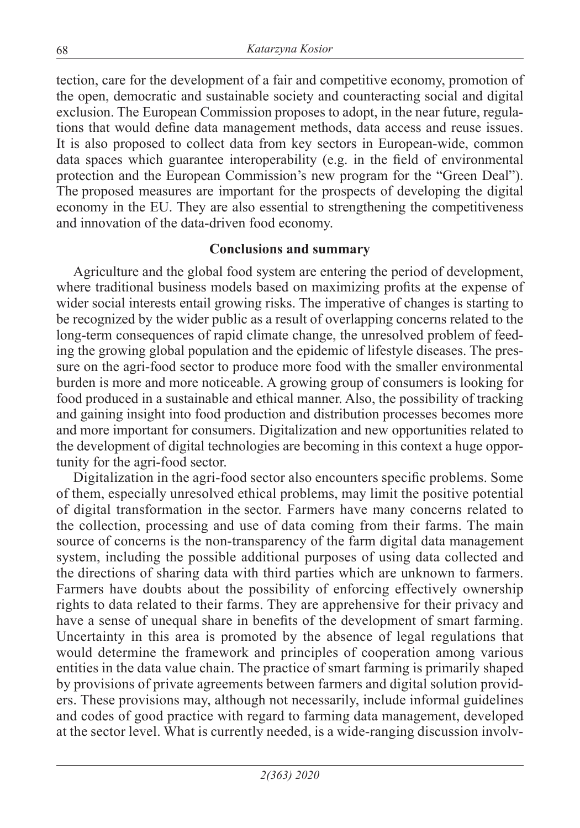tection, care for the development of a fair and competitive economy, promotion of the open, democratic and sustainable society and counteracting social and digital exclusion. The European Commission proposes to adopt, in the near future, regulations that would define data management methods, data access and reuse issues. It is also proposed to collect data from key sectors in European-wide, common data spaces which guarantee interoperability (e.g. in the field of environmental protection and the European Commission's new program for the "Green Deal"). The proposed measures are important for the prospects of developing the digital economy in the EU. They are also essential to strengthening the competitiveness and innovation of the data-driven food economy.

#### **Conclusions and summary**

Agriculture and the global food system are entering the period of development, where traditional business models based on maximizing profits at the expense of wider social interests entail growing risks. The imperative of changes is starting to be recognized by the wider public as a result of overlapping concerns related to the long-term consequences of rapid climate change, the unresolved problem of feeding the growing global population and the epidemic of lifestyle diseases. The pressure on the agri-food sector to produce more food with the smaller environmental burden is more and more noticeable. A growing group of consumers is looking for food produced in a sustainable and ethical manner. Also, the possibility of tracking and gaining insight into food production and distribution processes becomes more and more important for consumers. Digitalization and new opportunities related to the development of digital technologies are becoming in this context a huge opportunity for the agri-food sector.

Digitalization in the agri-food sector also encounters specific problems. Some of them, especially unresolved ethical problems, may limit the positive potential of digital transformation in the sector. Farmers have many concerns related to the collection, processing and use of data coming from their farms. The main source of concerns is the non-transparency of the farm digital data management system, including the possible additional purposes of using data collected and the directions of sharing data with third parties which are unknown to farmers. Farmers have doubts about the possibility of enforcing effectively ownership rights to data related to their farms. They are apprehensive for their privacy and have a sense of unequal share in benefits of the development of smart farming. Uncertainty in this area is promoted by the absence of legal regulations that would determine the framework and principles of cooperation among various entities in the data value chain. The practice of smart farming is primarily shaped by provisions of private agreements between farmers and digital solution providers. These provisions may, although not necessarily, include informal guidelines and codes of good practice with regard to farming data management, developed at the sector level. What is currently needed, is a wide-ranging discussion involv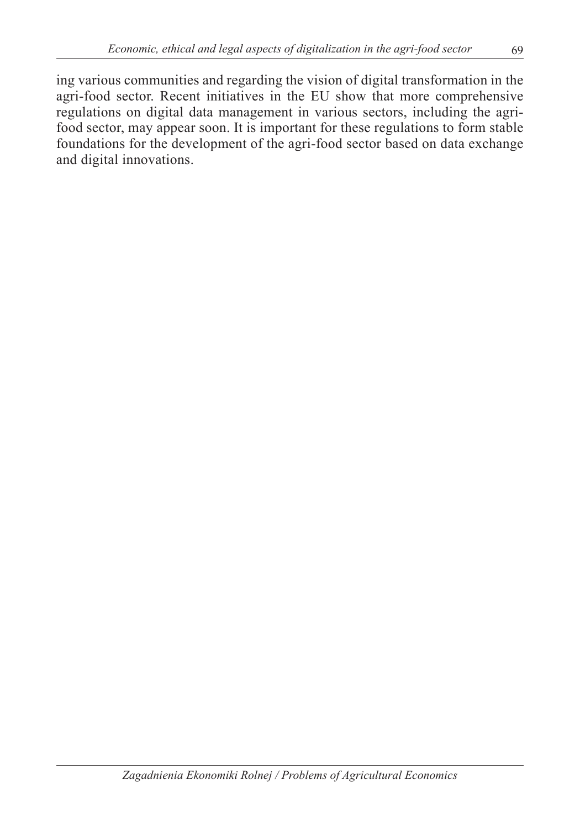ing various communities and regarding the vision of digital transformation in the agri-food sector. Recent initiatives in the EU show that more comprehensive regulations on digital data management in various sectors, including the agrifood sector, may appear soon. It is important for these regulations to form stable foundations for the development of the agri-food sector based on data exchange and digital innovations.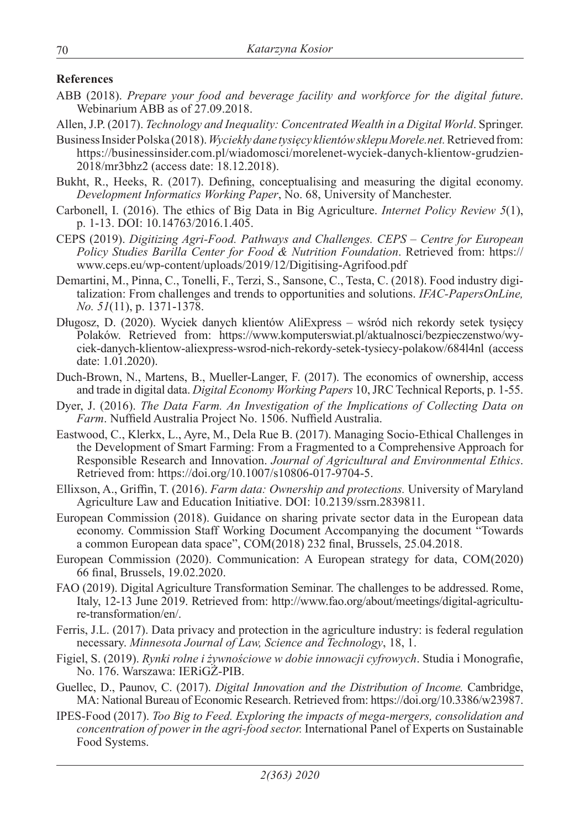#### **References**

- ABB (2018). *Prepare your food and beverage facility and workforce for the digital future*. Webinarium ABB as of 27.09.2018.
- Allen, J.P. (2017). *Technology and Inequality: Concentrated Wealth in a Digital World*. Springer.
- Business Insider Polska (2018). *Wyciekły dane tysięcy klientów sklepu Morele.net.* Retrieved from: https://businessinsider.com.pl/wiadomosci/morelenet-wyciek-danych-klientow-grudzien-2018/mr3bhz2 (access date: 18.12.2018).
- Bukht, R., Heeks, R. (2017). Defining, conceptualising and measuring the digital economy. *Development Informatics Working Paper*, No. 68, University of Manchester.
- Carbonell, I. (2016). The ethics of Big Data in Big Agriculture. *Internet Policy Review 5*(1), p. 1-13. DOI: 10.14763/2016.1.405.
- CEPS (2019). *Digitizing Agri-Food. Pathways and Challenges. CEPS Centre for European Policy Studies Barilla Center for Food & Nutrition Foundation*. Retrieved from: https:// www.ceps.eu/wp-content/uploads/2019/12/Digitising-Agrifood.pdf
- Demartini, M., Pinna, C., Tonelli, F., Terzi, S., Sansone, C., Testa, C. (2018). Food industry digitalization: From challenges and trends to opportunities and solutions. *IFAC-PapersOnLine, No. 51*(11), p. 1371-1378.
- Długosz, D. (2020). Wyciek danych klientów AliExpress wśród nich rekordy setek tysięcy Polaków. Retrieved from: https://www.komputerswiat.pl/aktualnosci/bezpieczenstwo/wyciek-danych-klientow-aliexpress-wsrod-nich-rekordy-setek-tysiecy-polakow/684l4nl (access date: 1.01.2020).
- Duch-Brown, N., Martens, B., Mueller-Langer, F. (2017). The economics of ownership, access and trade in digital data. *Digital Economy Working Papers* 10, JRC Technical Reports, p. 1-55.
- Dyer, J. (2016). *The Data Farm. An Investigation of the Implications of Collecting Data on Farm*. Nuffield Australia Project No. 1506. Nuffield Australia.
- Eastwood, C., Klerkx, L., Ayre, M., Dela Rue B. (2017). Managing Socio-Ethical Challenges in the Development of Smart Farming: From a Fragmented to a Comprehensive Approach for Responsible Research and Innovation. *Journal of Agricultural and Environmental Ethics*. Retrieved from: https://doi.org/10.1007/s10806-017-9704-5.
- Ellixson, A., Griffin, T. (2016). *Farm data: Ownership and protections.* University of Maryland Agriculture Law and Education Initiative. DOI: 10.2139/ssrn.2839811.
- European Commission (2018). Guidance on sharing private sector data in the European data economy. Commission Staff Working Document Accompanying the document "Towards a common European data space", COM(2018) 232 final, Brussels, 25.04.2018.
- European Commission (2020). Communication: A European strategy for data, COM(2020) 66 final, Brussels, 19.02.2020.
- FAO (2019). Digital Agriculture Transformation Seminar. The challenges to be addressed. Rome, Italy, 12-13 June 2019. Retrieved from: http://www.fao.org/about/meetings/digital-agriculture-transformation/en/.
- Ferris, J.L. (2017). Data privacy and protection in the agriculture industry: is federal regulation necessary. *Minnesota Journal of Law, Science and Technology*, 18, 1.
- Figiel, S. (2019). *Rynki rolne i żywnościowe w dobie innowacji cyfrowych*. Studia i Monografie, No. 176. Warszawa: IERiGŻ-PIB.
- Guellec, D., Paunov, C. (2017). *Digital Innovation and the Distribution of Income.* Cambridge, MA: National Bureau of Economic Research. Retrieved from: https://doi.org/10.3386/w23987.
- IPES-Food (2017). *Too Big to Feed. Exploring the impacts of mega-mergers, consolidation and concentration of power in the agri-food sector.* International Panel of Experts on Sustainable Food Systems.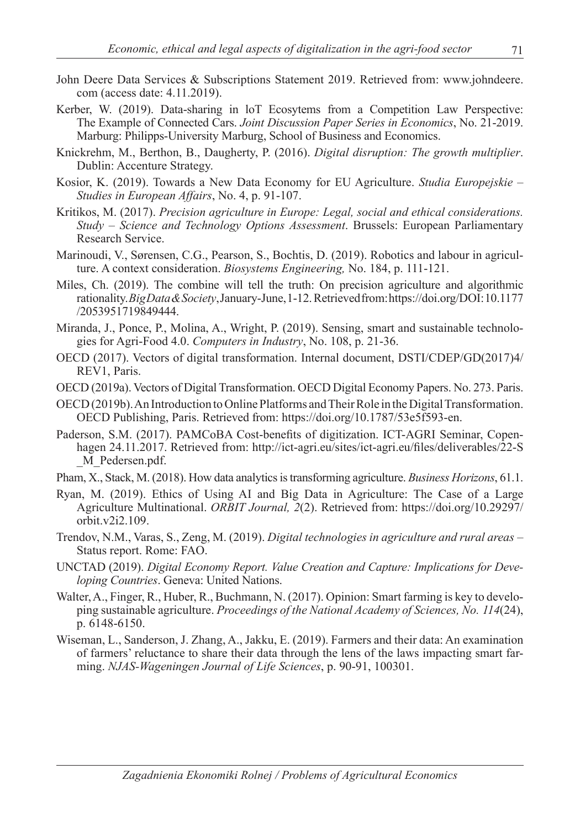- John Deere Data Services & Subscriptions Statement 2019. Retrieved from: www.johndeere. com (access date: 4.11.2019).
- Kerber, W. (2019). Data-sharing in loT Ecosytems from a Competition Law Perspective: The Example of Connected Cars. *Joint Discussion Paper Series in Economics*, No. 21-2019. Marburg: Philipps-University Marburg, School of Business and Economics.
- Knickrehm, M., Berthon, B., Daugherty, P. (2016). *Digital disruption: The growth multiplier*. Dublin: Accenture Strategy.
- Kosior, K. (2019). Towards a New Data Economy for EU Agriculture. *Studia Europejskie – Studies in European Affairs*, No. 4, p. 91-107.
- Kritikos, M. (2017). *Precision agriculture in Europe: Legal, social and ethical considerations. Study – Science and Technology Options Assessment*. Brussels: European Parliamentary Research Service.
- Marinoudi, V., Sørensen, C.G., Pearson, S., Bochtis, D. (2019). Robotics and labour in agriculture. A context consideration. *Biosystems Engineering,* No. 184, p. 111-121.
- Miles, Ch. (2019). The combine will tell the truth: On precision agriculture and algorithmic rationality. *Big Data & Society*, January-June, 1-12. Retrieved from: https://doi.org/DOI: 10.1177 /2053951719849444.
- Miranda, J., Ponce, P., Molina, A., Wright, P. (2019). Sensing, smart and sustainable technologies for Agri-Food 4.0. *Computers in Industry*, No. 108, p. 21-36.
- OECD (2017). Vectors of digital transformation. Internal document, DSTI/CDEP/GD(2017)4/ REV1, Paris.
- OECD (2019a). Vectors of Digital Transformation. OECD Digital Economy Papers. No. 273. Paris.
- OECD (2019b). An Introduction to Online Platforms and Their Role in the Digital Transformation. OECD Publishing, Paris. Retrieved from: https://doi.org/10.1787/53e5f593-en.
- Paderson, S.M. (2017). PAMCoBA Cost-benefits of digitization. ICT-AGRI Seminar, Copenhagen 24.11.2017. Retrieved from: http://ict-agri.eu/sites/ict-agri.eu/files/deliverables/22-S \_M\_Pedersen.pdf.
- Pham, X., Stack, M. (2018). How data analytics is transforming agriculture. *Business Horizons*, 61.1.
- Ryan, M. (2019). Ethics of Using AI and Big Data in Agriculture: The Case of a Large Agriculture Multinational. *ORBIT Journal, 2*(2). Retrieved from: https://doi.org/10.29297/ orbit.v2i2.109.
- Trendov, N.M., Varas, S., Zeng, M. (2019). *Digital technologies in agriculture and rural areas* Status report. Rome: FAO.
- UNCTAD (2019). *Digital Economy Report. Value Creation and Capture: Implications for Developing Countries*. Geneva: United Nations.
- Walter, A., Finger, R., Huber, R., Buchmann, N. (2017). Opinion: Smart farming is key to developing sustainable agriculture. *Proceedings of the National Academy of Sciences, No. 114*(24), p. 6148-6150.
- Wiseman, L., Sanderson, J. Zhang, A., Jakku, E. (2019). Farmers and their data: An examination of farmers' reluctance to share their data through the lens of the laws impacting smart farming. *NJAS-Wageningen Journal of Life Sciences*, p. 90-91, 100301.